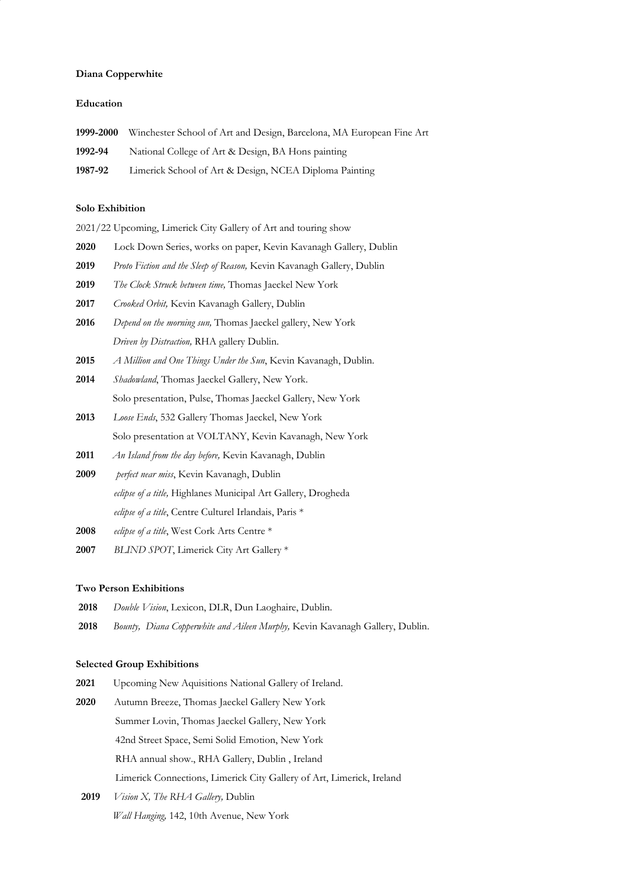## **Diana Copperwhite**

#### **Education**

| 1999-2000 | Winchester School of Art and Design, Barcelona, MA European Fine Art |
|-----------|----------------------------------------------------------------------|
| 1992-94   | National College of Art & Design, BA Hons painting                   |
| 1987-92   | Limerick School of Art & Design, NCEA Diploma Painting               |

# **Solo Exhibition**

|  | 2021/22 Upcoming, Limerick City Gallery of Art and touring show |  |  |  |  |
|--|-----------------------------------------------------------------|--|--|--|--|
|  |                                                                 |  |  |  |  |

- **2020** Lock Down Series, works on paper, Kevin Kavanagh Gallery, Dublin
- **2019** *Proto Fiction and the Sleep of Reason,* Kevin Kavanagh Gallery, Dublin
- **2019** *The Clock Struck between time,* Thomas Jaeckel New York
- **2017** *Crooked Orbit,* Kevin Kavanagh Gallery, Dublin
- **2016** *Depend on the morning sun,* Thomas Jaeckel gallery, New York *Driven by Distraction,* RHA gallery Dublin.
- **2015** *A Million and One Things Under the Sun*, Kevin Kavanagh, Dublin.
- **2014** *Shadowland*, Thomas Jaeckel Gallery, New York. Solo presentation, Pulse, Thomas Jaeckel Gallery, New York
- **2013** *Loose Ends*, 532 Gallery Thomas Jaeckel, New York Solo presentation at VOLTANY, Kevin Kavanagh, New York
- **2011** *An Island from the day before,* Kevin Kavanagh, Dublin
- **2009** *perfect near miss*, Kevin Kavanagh, Dublin *eclipse of a title,* Highlanes Municipal Art Gallery, Drogheda *eclipse of a title*, Centre Culturel Irlandais, Paris \*
- **2008** *eclipse of a title*, West Cork Arts Centre \*
- **2007** *BLIND SPOT*, Limerick City Art Gallery \*

## **Two Person Exhibitions**

- **2018** *Double Vision*, Lexicon, DLR, Dun Laoghaire, Dublin.
- **2018** *Bounty, Diana Copperwhite and Aileen Murphy,* Kevin Kavanagh Gallery, Dublin.

#### **Selected Group Exhibitions**

- **2021** Upcoming New Aquisitions National Gallery of Ireland.
- **2020** Autumn Breeze, Thomas Jaeckel Gallery New York Summer Lovin, Thomas Jaeckel Gallery, New York 42nd Street Space, Semi Solid Emotion, New York RHA annual show., RHA Gallery, Dublin , Ireland Limerick Connections, Limerick City Gallery of Art, Limerick, Ireland
- **2019** *Vision X, The RHA Gallery,* Dublin *Wall Hanging,* 142, 10th Avenue, New York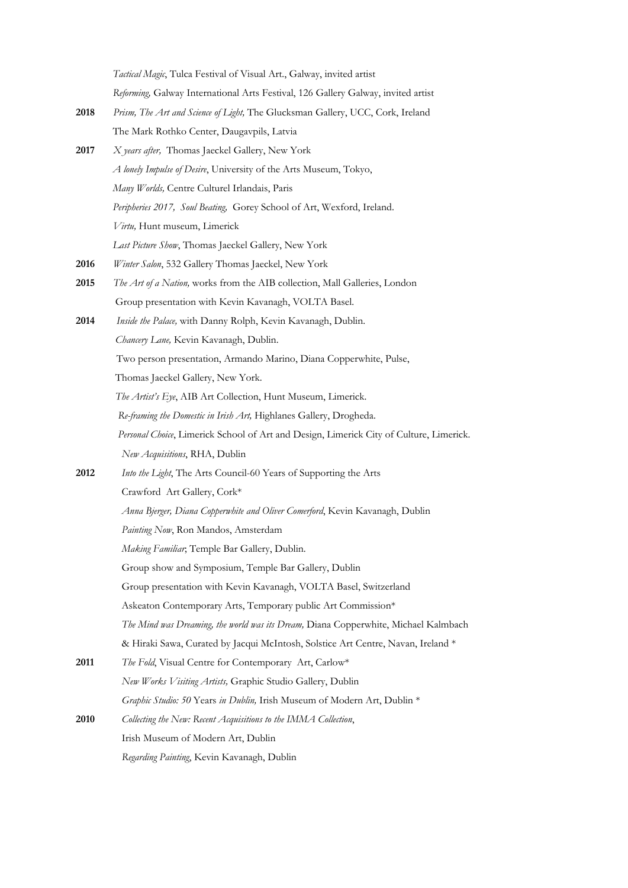*Tactical Magic*, Tulca Festival of Visual Art., Galway, invited artist *Reforming,* Galway International Arts Festival, 126 Gallery Galway, invited artist

- **2018** *Prism, The Art and Science of Light,* The Glucksman Gallery, UCC, Cork, Ireland The Mark Rothko Center, Daugavpils, Latvia
- **2017** *X years after,* Thomas Jaeckel Gallery, New York *A lonely Impulse of Desire*, University of the Arts Museum, Tokyo, *Many Worlds,* Centre Culturel Irlandais, Paris *Peripheries 2017, Soul Beating,* Gorey School of Art, Wexford, Ireland. *Virtu,* Hunt museum, Limerick *Last Picture Show*, Thomas Jaeckel Gallery, New York
- **2016** *Winter Salon*, 532 Gallery Thomas Jaeckel, New York
- **2015** *The Art of a Nation,* works from the AIB collection, Mall Galleries, London Group presentation with Kevin Kavanagh, VOLTA Basel.
- **2014** *Inside the Palace,* with Danny Rolph, Kevin Kavanagh, Dublin. *Chancery Lane,* Kevin Kavanagh, Dublin. Two person presentation, Armando Marino, Diana Copperwhite, Pulse, Thomas Jaeckel Gallery, New York. *The Artist's Eye*, AIB Art Collection, Hunt Museum, Limerick. *Re-framing the Domestic in Irish Art,* Highlanes Gallery, Drogheda. *Personal Choice*, Limerick School of Art and Design, Limerick City of Culture, Limerick. *New Acquisitions*, RHA, Dublin
- **2012** *Into the Light*, The Arts Council-60 Years of Supporting the Arts Crawford Art Gallery, Cork\*
	- *Anna Bjerger, Diana Copperwhite and Oliver Comerford*, Kevin Kavanagh, Dublin
	- *Painting Now*, Ron Mandos, Amsterdam
	- *Making Familiar*; Temple Bar Gallery, Dublin.

Group show and Symposium, Temple Bar Gallery, Dublin

- Group presentation with Kevin Kavanagh, VOLTA Basel, Switzerland
- Askeaton Contemporary Arts, Temporary public Art Commission\*
- *The Mind was Dreaming, the world was its Dream,* Diana Copperwhite, Michael Kalmbach
- & Hiraki Sawa, Curated by Jacqui McIntosh, Solstice Art Centre, Navan, Ireland \*
- **2011** *The Fold*, Visual Centre for Contemporary Art, Carlow\* *New Works Visiting Artists,* Graphic Studio Gallery, Dublin *Graphic Studio: 50* Years *in Dublin,* Irish Museum of Modern Art, Dublin \*
- **2010** *Collecting the New: Recent Acquisitions to the IMMA Collection*,
	- Irish Museum of Modern Art, Dublin
		- *Regarding Painting*, Kevin Kavanagh, Dublin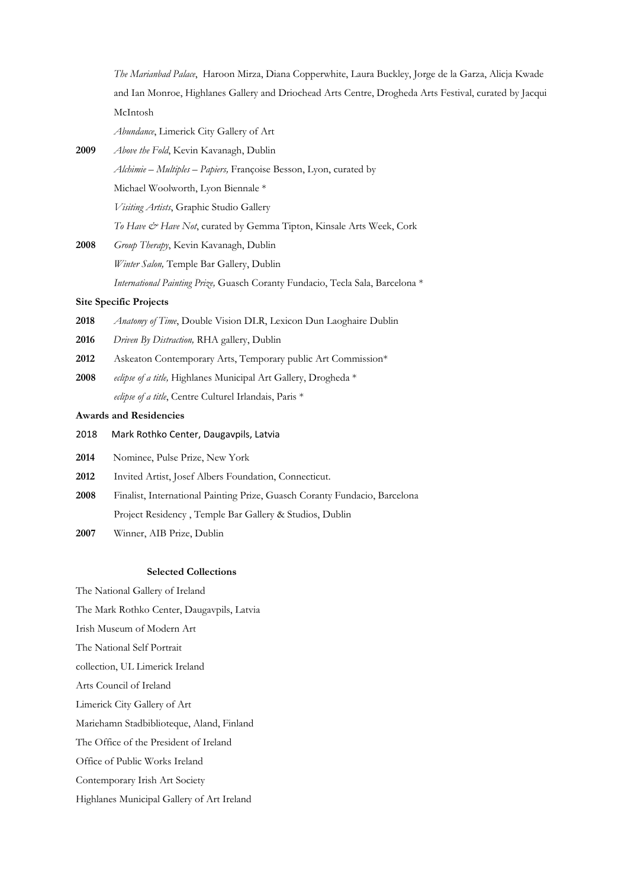*The Marianbad Palace*, Haroon Mirza, Diana Copperwhite, Laura Buckley, Jorge de la Garza, Alicja Kwade and Ian Monroe, Highlanes Gallery and Driochead Arts Centre, Drogheda Arts Festival, curated by Jacqui McIntosh

*Abundance*, Limerick City Gallery of Art

- **2009** *Above the Fold*, Kevin Kavanagh, Dublin *Alchimie – Multiples – Papiers,* Françoise Besson, Lyon, curated by Michael Woolworth, Lyon Biennale \* *Visiting Artists*, Graphic Studio Gallery *To Have & Have Not*, curated by Gemma Tipton, Kinsale Arts Week, Cork
- **2008** *Group Therapy*, Kevin Kavanagh, Dublin *Winter Salon,* Temple Bar Gallery, Dublin *International Painting Prize,* Guasch Coranty Fundacio, Tecla Sala, Barcelona \*

## **Site Specific Projects**

- **2018** *Anatomy of Time*, Double Vision DLR, Lexicon Dun Laoghaire Dublin
- **2016** *Driven By Distraction,* RHA gallery, Dublin
- **2012** Askeaton Contemporary Arts, Temporary public Art Commission\*
- **2008** *eclipse of a title,* Highlanes Municipal Art Gallery, Drogheda \* *eclipse of a title*, Centre Culturel Irlandais, Paris \*

# **Awards and Residencies**

- 2018 Mark Rothko Center, Daugavpils, Latvia
- **2014** Nominee, Pulse Prize, New York
- **2012** Invited Artist, Josef Albers Foundation, Connecticut.
- **2008** Finalist, International Painting Prize, Guasch Coranty Fundacio, Barcelona Project Residency , Temple Bar Gallery & Studios, Dublin
- **2007** Winner, AIB Prize, Dublin

## **Selected Collections**

The National Gallery of Ireland

The Mark Rothko Center, Daugavpils, Latvia

- Irish Museum of Modern Art
- The National Self Portrait

collection, UL Limerick Ireland

Arts Council of Ireland

Limerick City Gallery of Art

Mariehamn Stadbiblioteque, Aland, Finland

The Office of the President of Ireland

Office of Public Works Ireland

Contemporary Irish Art Society

Highlanes Municipal Gallery of Art Ireland